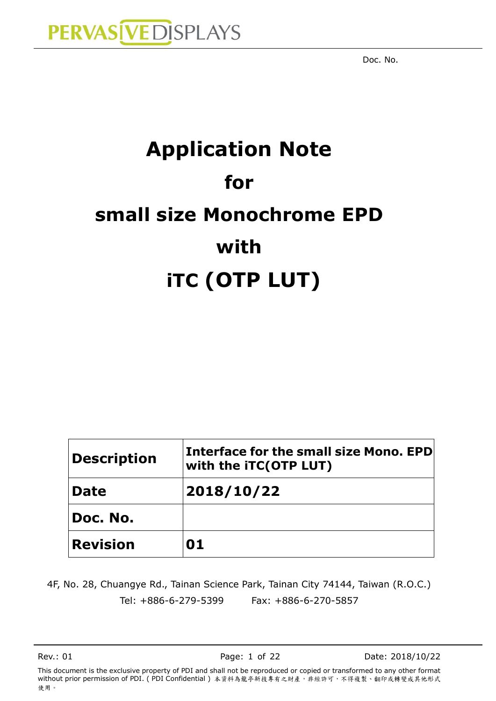# **Application Note for small size Monochrome EPD with iTC (OTP LUT)**

| <b>Description</b> | <b>Interface for the small size Mono, EPD</b><br>with the iTC(OTP LUT) |  |  |
|--------------------|------------------------------------------------------------------------|--|--|
| <b>Date</b>        | 2018/10/22                                                             |  |  |
| Doc. No.           |                                                                        |  |  |
| <b>Revision</b>    | 01                                                                     |  |  |

4F, No. 28, Chuangye Rd., Tainan Science Park, Tainan City 74144, Taiwan (R.O.C.) Tel: +886-6-279-5399 Fax: +886-6-270-5857

Rev.: 01 Page: 1 of 22 Date: 2018/10/22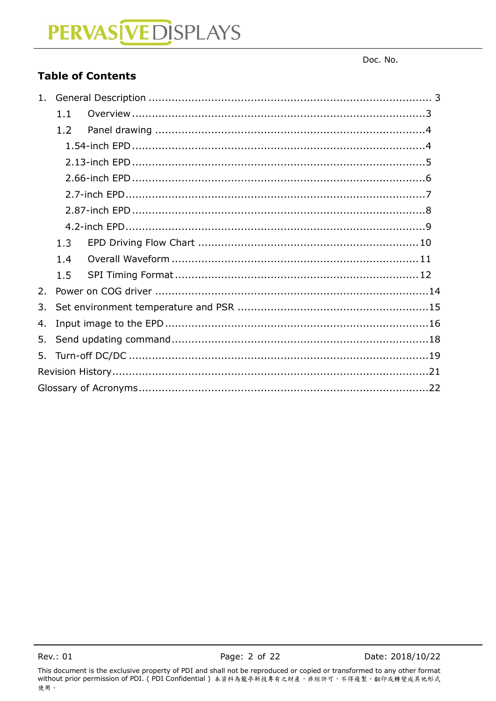Doc. No.

### **Table of Contents**

| $1_{\ldots}$ |     |  |  |  |  |  |
|--------------|-----|--|--|--|--|--|
|              | 1.1 |  |  |  |  |  |
|              | 1.2 |  |  |  |  |  |
|              |     |  |  |  |  |  |
|              |     |  |  |  |  |  |
|              |     |  |  |  |  |  |
|              |     |  |  |  |  |  |
|              |     |  |  |  |  |  |
|              |     |  |  |  |  |  |
|              | 1.3 |  |  |  |  |  |
|              | 1.4 |  |  |  |  |  |
|              | 1.5 |  |  |  |  |  |
| 2.           |     |  |  |  |  |  |
| 3.           |     |  |  |  |  |  |
| 4.           |     |  |  |  |  |  |
| 5.           |     |  |  |  |  |  |
| 5.           |     |  |  |  |  |  |
|              |     |  |  |  |  |  |
|              |     |  |  |  |  |  |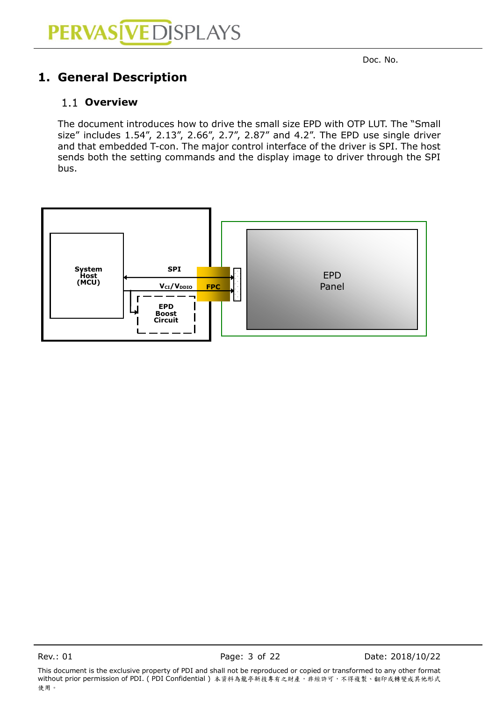### <span id="page-2-0"></span>**1. General Description**

#### <span id="page-2-1"></span>**Overview**

The document introduces how to drive the small size EPD with OTP LUT. The "Small size" includes 1.54", 2.13", 2.66", 2.7", 2.87" and 4.2". The EPD use single driver and that embedded T-con. The major control interface of the driver is SPI. The host sends both the setting commands and the display image to driver through the SPI bus.



Rev.: 01 Page: 3 of 22 Date: 2018/10/22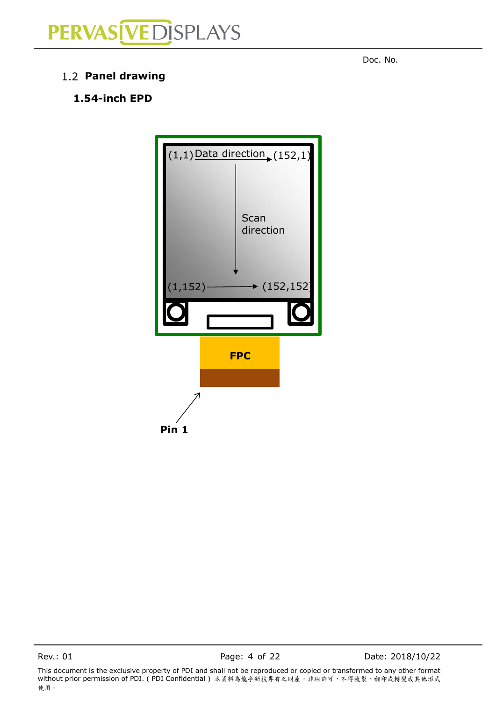

<span id="page-3-1"></span>**Panel drawing**

### **1.54-inch EPD**



Rev.: 01 **Page: 4 of 22** Date: 2018/10/22

This document is the exclusive property of PDI and shall not be reproduced or copied or transformed to any other format without prior permission of PDI. ( PDI Confidential ) 本資料為龍亭新技專有之財產,非經許可,不得複製、翻印或轉變成其他形式 使用。

<span id="page-3-0"></span>denotes the contract of the contract of the contract of the contract of the contract of the contract of the contract of the contract of the contract of the contract of the contract of the contract of the contract of the co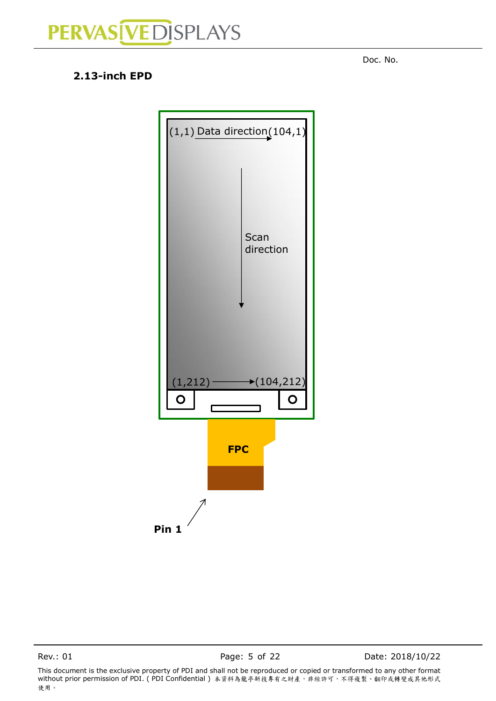<span id="page-4-0"></span>denotes the contract of the contract of the contract of the contract of the contract of the contract of the contract of the contract of the contract of the contract of the contract of the contract of the contract of the co

#### **2.13-inch EPD**



Rev.: 01 Page: 5 of 22 Date: 2018/10/22

This document is the exclusive property of PDI and shall not be reproduced or copied or transformed to any other format without prior permission of PDI. ( PDI Confidential ) 本資料為龍亭新技專有之財產,非經許可,不得複製、翻印或轉變成其他形式 使用。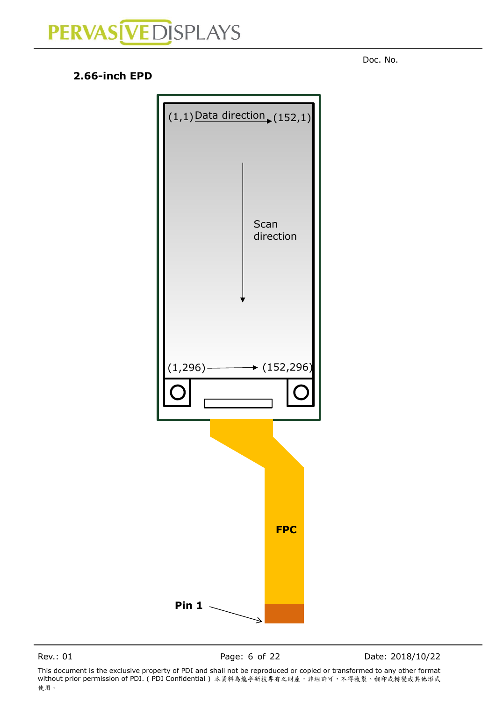**2.66-inch EPD**

 $(1,1)$  Data direction  $(152,1)$ **FPC Pin 1 Scan** direction  $(1,296)$   $\longrightarrow$   $(152,296)$ 

<span id="page-5-0"></span>denotes the contract of the contract of the contract of the contract of the contract of the contract of the contract of the contract of the contract of the contract of the contract of the contract of the contract of the co

Rev.: 01 **Page: 6 of 22** Date: 2018/10/22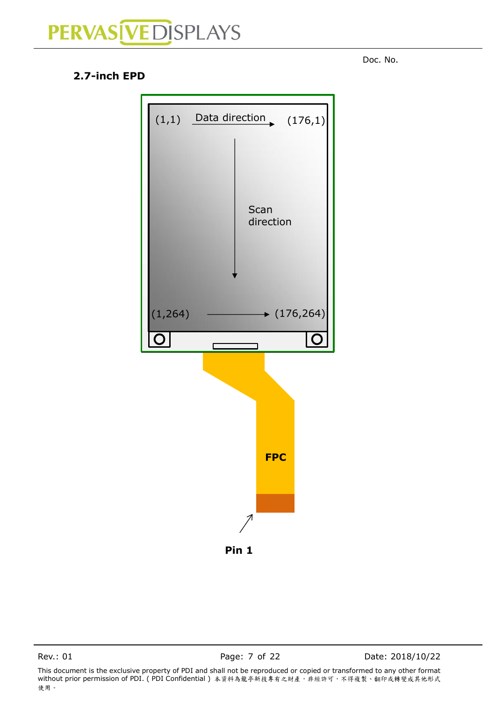<span id="page-6-0"></span>denotes the contract of the contract of the contract of the contract of the contract of the contract of the contract of the contract of the contract of the contract of the contract of the contract of the contract of the co

### **2.7-inch EPD**



Rev.: 01 Page: 7 of 22 Date: 2018/10/22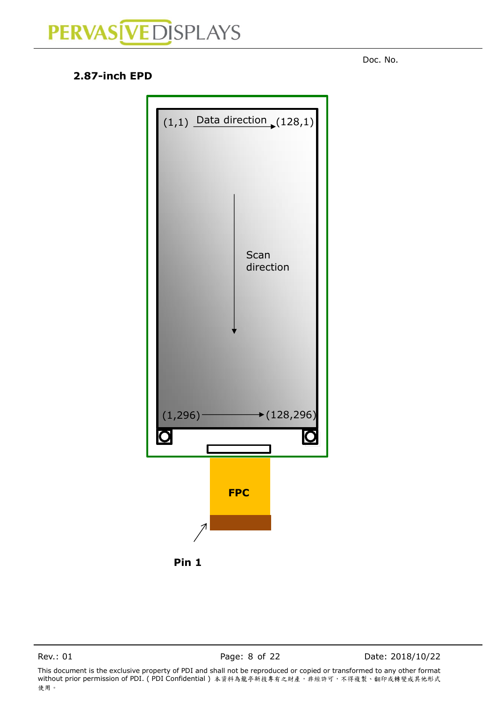<span id="page-7-0"></span>denotes the contract of the contract of the contract of the contract of the contract of the contract of the contract of the contract of the contract of the contract of the contract of the contract of the contract of the co

#### **2.87-inch EPD**



**Pin 1**

Rev.: 01 Page: 8 of 22 Date: 2018/10/22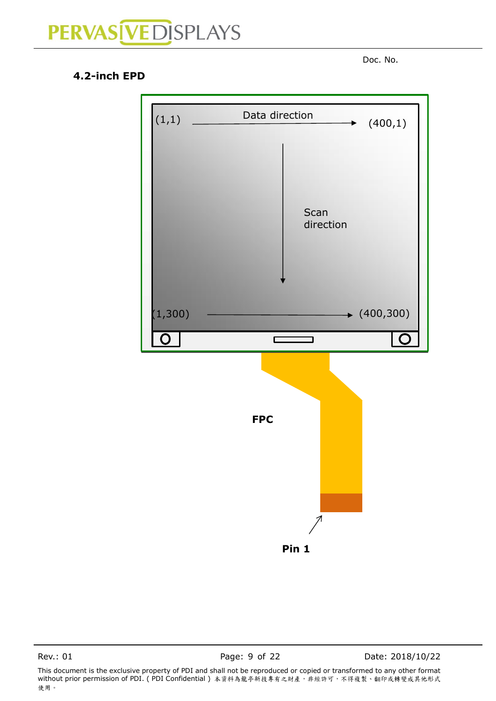

#### <span id="page-8-0"></span>**4.2-inch EPD**



Rev.: 01 **Page: 9 of 22** Date: 2018/10/22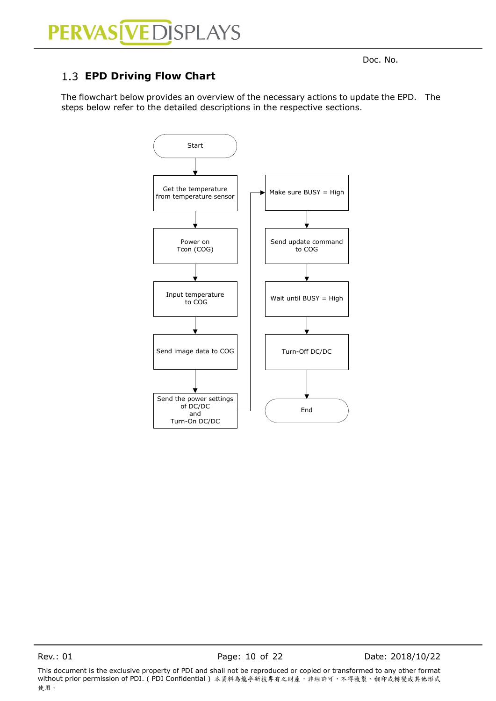### PERVAS VEDISPLAYS

### <span id="page-9-0"></span>**EPD Driving Flow Chart**

The flowchart below provides an overview of the necessary actions to update the EPD. The steps below refer to the detailed descriptions in the respective sections.



Rev.: 01 Page: 10 of 22 Date: 2018/10/22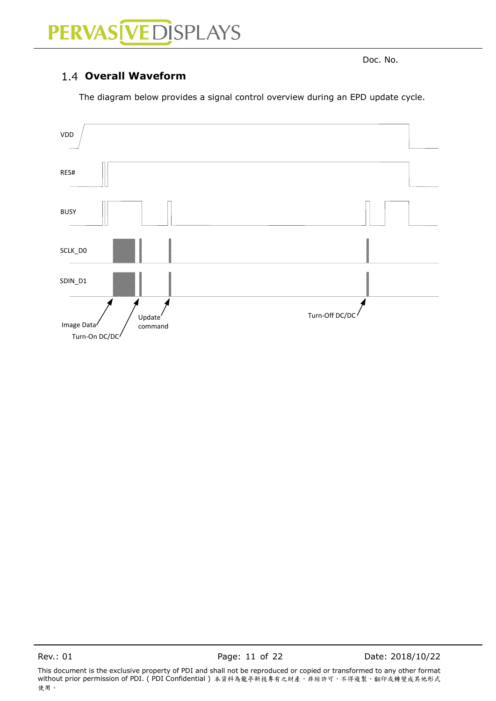## PERVAS [VED] SPLAYS

<span id="page-10-0"></span>denotes the contract of the contract of the contract of the contract of the contract of the contract of the contract of the contract of the contract of the contract of the contract of the contract of the contract of the co

#### **Overall Waveform**

The diagram below provides a signal control overview during an EPD update cycle.



This document is the exclusive property of PDI and shall not be reproduced or copied or transformed to any other format without prior permission of PDI. ( PDI Confidential ) 本資料為龍亭新技專有之財產,非經許可,不得複製、翻印或轉變成其他形式 使用。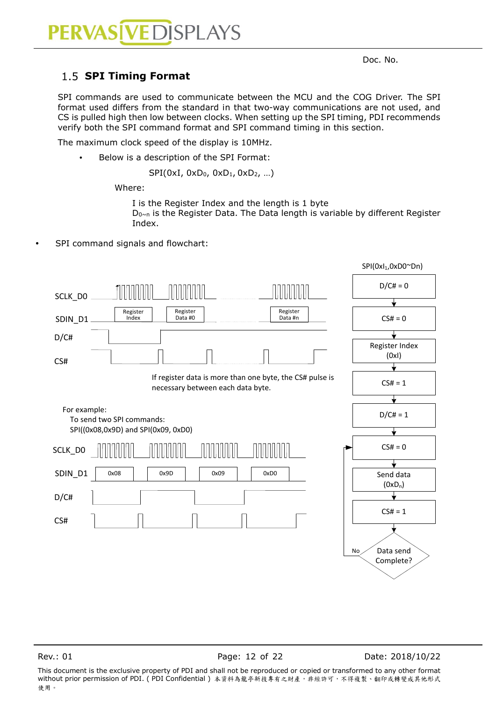#### <span id="page-11-0"></span>1.5 **SPI Timing Format**

SPI commands are used to communicate between the MCU and the COG Driver. The SPI format used differs from the standard in that two-way communications are not used, and CS is pulled high then low between clocks. When setting up the SPI timing, PDI recommends verify both the SPI command format and SPI command timing in this section.

The maximum clock speed of the display is 10MHz.

Below is a description of the SPI Format:

SPI(0xI, 0xD<sub>0</sub>, 0xD<sub>1</sub>, 0xD<sub>2</sub>, ...)

Where:

I is the Register Index and the length is 1 byte D<sub>0~n</sub> is the Register Data. The Data length is variable by different Register Index.

SPI command signals and flowchart:



Rev.: 01 Page: 12 of 22 Date: 2018/10/22

This document is the exclusive property of PDI and shall not be reproduced or copied or transformed to any other format without prior permission of PDI. (PDI Confidential) 本資料為龍亭新技專有之財產,非經許可,不得複製、翻印或轉變成其他形式 使用。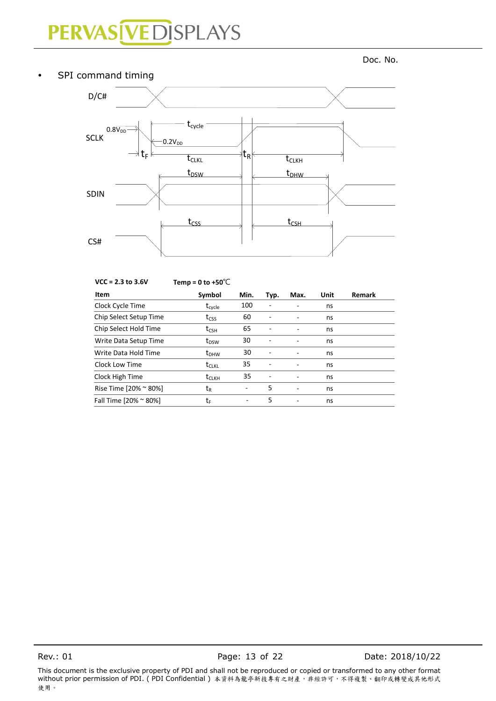## PERVAS [VED] SPLAYS

denotes the contract of the contract of the contract of the contract of the contract of the contract of the contract of the contract of the contract of the contract of the contract of the contract of the contract of the co

### • SPI command timing SDIN CS# SCLK  $0.8\overline{V_{DD}}$  $0.2V_{DD}$  $t_{\text{CSS}}$   $\downarrow$   $t_{\text{CSH}}$  $t_{cycle}$  $\operatorname{\mathsf{t}}_{\mathsf{R}}$  t<sub>clkh</sub>  $\text{t}_{\text{DSW}}$   $\downarrow$   $\text{t}_{\text{DHW}}$ D/C#  $\forall$  t<sub>F</sub> k t<sub>CLKL</sub>

| $VCC = 2.3$ to 3.6V    | Temp = 0 to +50 $\degree$ C |      |                          |                          | Unit | <b>Remark</b> |
|------------------------|-----------------------------|------|--------------------------|--------------------------|------|---------------|
| Item                   | Symbol                      | Min. | Typ.                     | Max.                     |      |               |
| Clock Cycle Time       | $t_{\text{cycle}}$          | 100  | ۰                        |                          | ns   |               |
| Chip Select Setup Time | $t_{\text{CSS}}$            | 60   |                          |                          | ns   |               |
| Chip Select Hold Time  | $t_{\text{CSH}}$            | 65   | $\overline{\phantom{a}}$ |                          | ns   |               |
| Write Data Setup Time  | $t_{DSW}$                   | 30   |                          | ۰                        | ns   |               |
| Write Data Hold Time   | $t_{DHW}$                   | 30   |                          | $\overline{\phantom{a}}$ | ns   |               |
| Clock Low Time         | $\rm t_{CLKL}$              | 35   |                          | ۰                        | ns   |               |
| Clock High Time        | $t_{CLKH}$                  | 35   | ٠                        | ٠                        | ns   |               |
| Rise Time [20% ~ 80%]  | t <sub>R</sub>              | -    | 5                        | $\overline{\phantom{a}}$ | ns   |               |
| Fall Time [20% ~ 80%]  | tr                          | ۰    | 5                        | ۰                        | ns   |               |

Rev.: 01 Page: 13 of 22 Date: 2018/10/22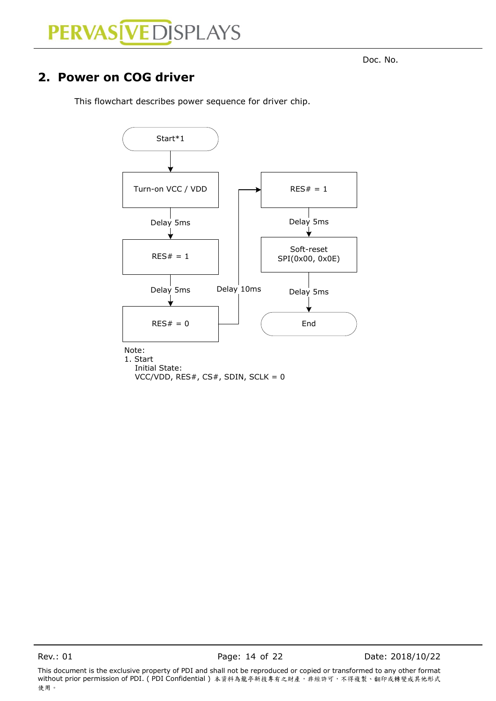### <span id="page-13-0"></span>**2. Power on COG driver**

This flowchart describes power sequence for driver chip.

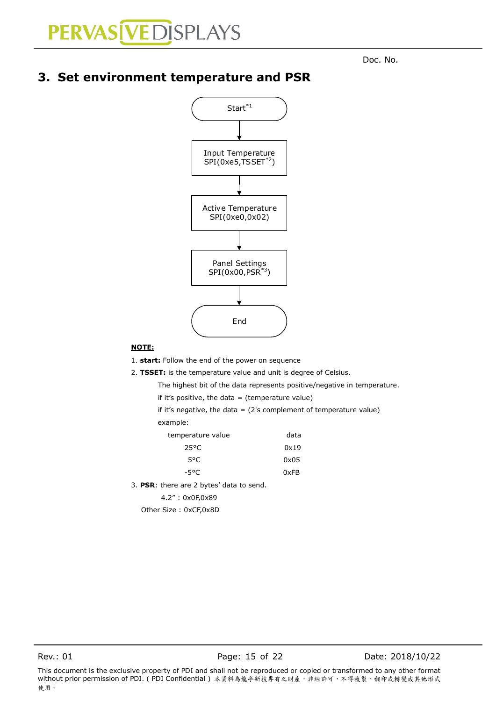### <span id="page-14-0"></span>**3. Set environment temperature and PSR**



#### **NOTE:**

1. **start:** Follow the end of the power on sequence

2. **TSSET:** is the temperature value and unit is degree of Celsius.

The highest bit of the data represents positive/negative in temperature.

if it's positive, the data  $=$  (temperature value)

if it's negative, the data  $=$  (2's complement of temperature value)

example:

| temperature value | data |
|-------------------|------|
| 25°C              | 0x19 |
| 5°C.              | 0x05 |
| -5°C.             | 0xFB |

3. **PSR**: there are 2 bytes' data to send.

4.2" : 0x0F,0x89

Other Size : 0xCF,0x8D

This document is the exclusive property of PDI and shall not be reproduced or copied or transformed to any other format without prior permission of PDI. (PDI Confidential) 本資料為龍亭新技專有之財產,非經許可,不得複製、翻印或轉變成其他形式 使用。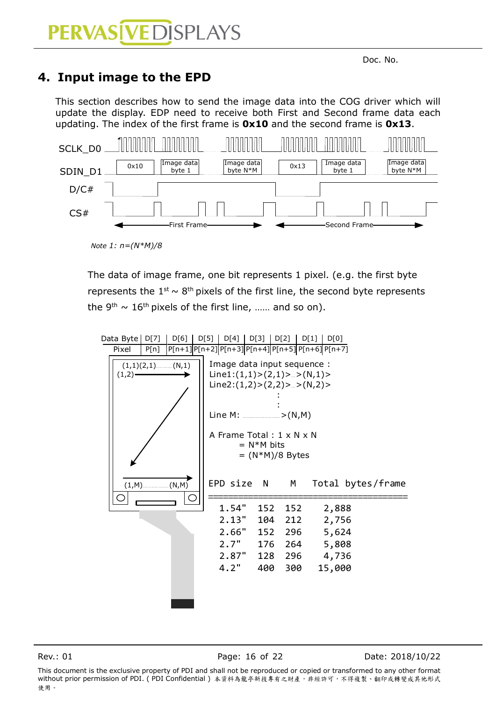### <span id="page-15-0"></span>**4. Input image to the EPD**

This section describes how to send the image data into the COG driver which will update the display. EDP need to receive both First and Second frame data each updating. The index of the first frame is **0x10** and the second frame is **0x13**.



*Note 1: n=(N\*M)/8*

The data of image frame, one bit represents 1 pixel. (e.g. the first byte represents the  $1^{st} \sim 8^{th}$  pixels of the first line, the second byte represents the 9<sup>th</sup>  $\sim 16$ <sup>th</sup> pixels of the first line, ...... and so on).



Rev.: 01 Page: 16 of 22 Date: 2018/10/22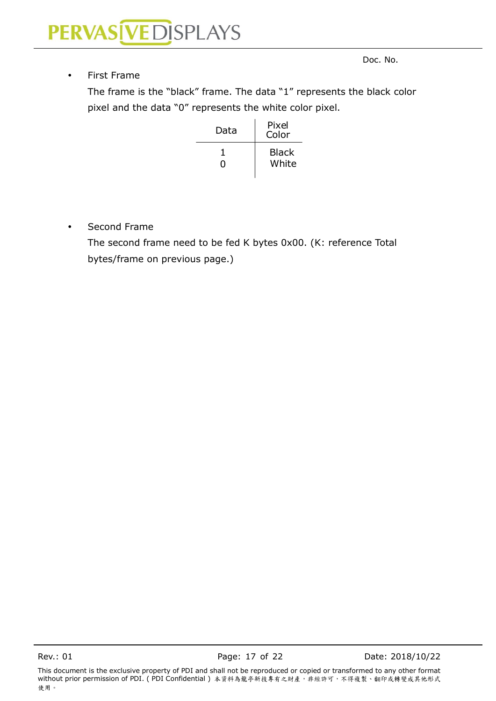#### • First Frame

denotes the contract of the contract of the contract of the contract of the contract of the contract of the contract of the contract of the contract of the contract of the contract of the contract of the contract of the co

The frame is the "black" frame. The data "1" represents the black color pixel and the data "0" represents the white color pixel.

| Data | Pixel<br>Color        |
|------|-----------------------|
| 0    | <b>Black</b><br>White |

Second Frame

The second frame need to be fed K bytes 0x00. (K: reference Total bytes/frame on previous page.)

This document is the exclusive property of PDI and shall not be reproduced or copied or transformed to any other format .....<br>without prior permission of PDI. (PDI Confidential ) 本資料為龍亭新技專有之財產,非經許可,不得複製、翻印或轉變成其他形式 使用。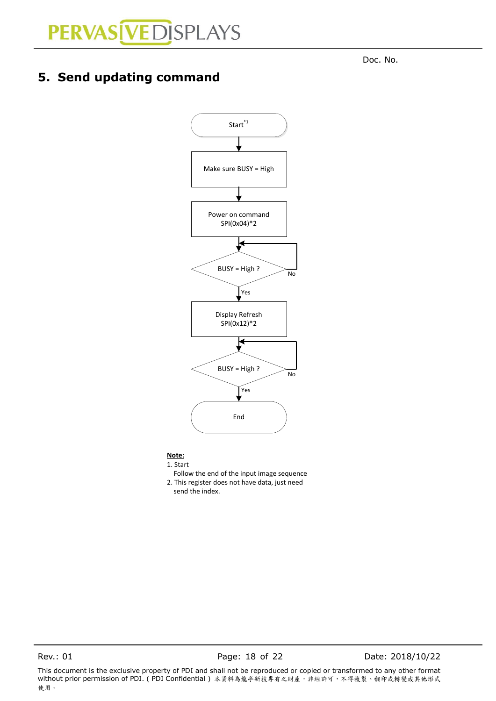<span id="page-17-0"></span>**5. Send updating command**

denotes the contract of the contract of the contract of the contract of the contract of the contract of the contract of the contract of the contract of the contract of the contract of the contract of the contract of the co



#### **Note:**

1. Start Follow the end of the input image sequence 2. This register does not have data, just need send the index.

Rev.: 01 **Page: 18 of 22** Date: 2018/10/22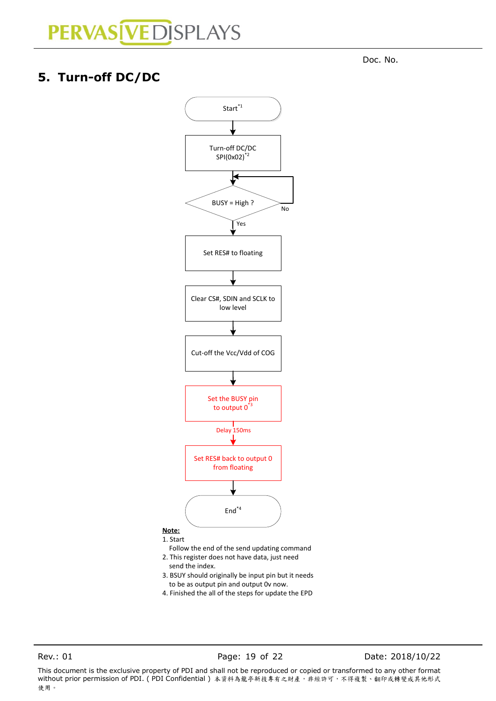denotes the contract of the contract of the contract of the contract of the contract of the contract of the contract of the contract of the contract of the contract of the contract of the contract of the contract of the co

### <span id="page-18-0"></span>**5. Turn-off DC/DC**



- 2. This register does not have data, just need send the index.
- 3. BSUY should originally be input pin but it needs to be as output pin and output 0v now.
- 4. Finished the all of the steps for update the EPD

Rev.: 01 **Page: 19 of 22** Date: 2018/10/22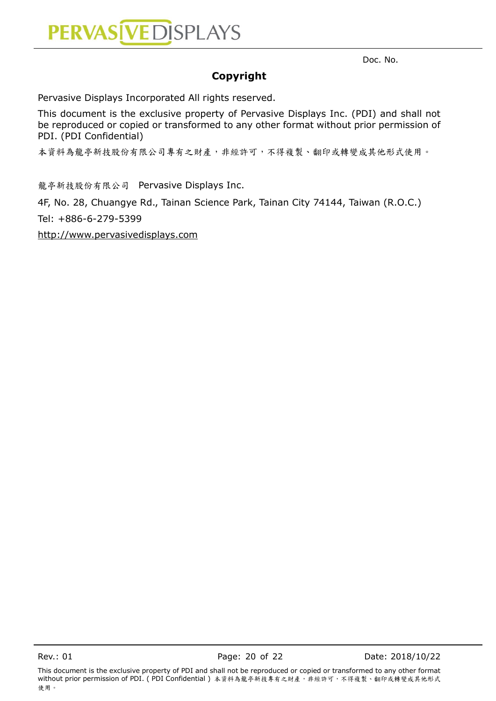

**Copyright**

Pervasive Displays Incorporated All rights reserved.

This document is the exclusive property of Pervasive Displays Inc. (PDI) and shall not be reproduced or copied or transformed to any other format without prior permission of PDI. (PDI Confidential)

本資料為龍亭新技股份有限公司專有之財產,非經許可,不得複製、翻印或轉變成其他形式使用。

龍亭新技股份有限公司 Pervasive Displays Inc.

4F, No. 28, Chuangye Rd., Tainan Science Park, Tainan City 74144, Taiwan (R.O.C.)

Tel: +886-6-279-5399

[http://www.pervasivedisplays.com](http://www.pervasivedisplays.com/)

This document is the exclusive property of PDI and shall not be reproduced or copied or transformed to any other format without prior permission of PDI. (PDI Confidential) 本資料為龍亭新技專有之財產,非經許可,不得複製、翻印或轉變成其他形式 使用。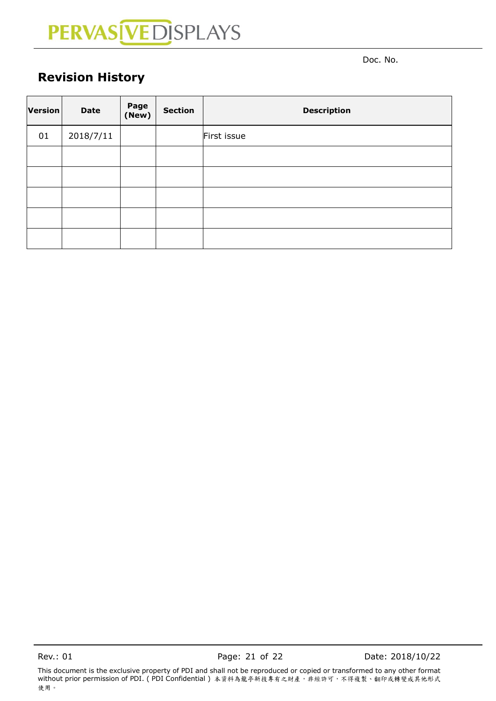denotes the contract of the contract of the contract of the contract of the contract of the contract of the contract of the contract of the contract of the contract of the contract of the contract of the contract of the co

### <span id="page-20-0"></span>**Revision History**

| Version | <b>Date</b> | Page<br>(New) | <b>Section</b> | <b>Description</b> |
|---------|-------------|---------------|----------------|--------------------|
| 01      | 2018/7/11   |               |                | First issue        |
|         |             |               |                |                    |
|         |             |               |                |                    |
|         |             |               |                |                    |
|         |             |               |                |                    |
|         |             |               |                |                    |

Rev.: 01 Page: 21 of 22 Date: 2018/10/22